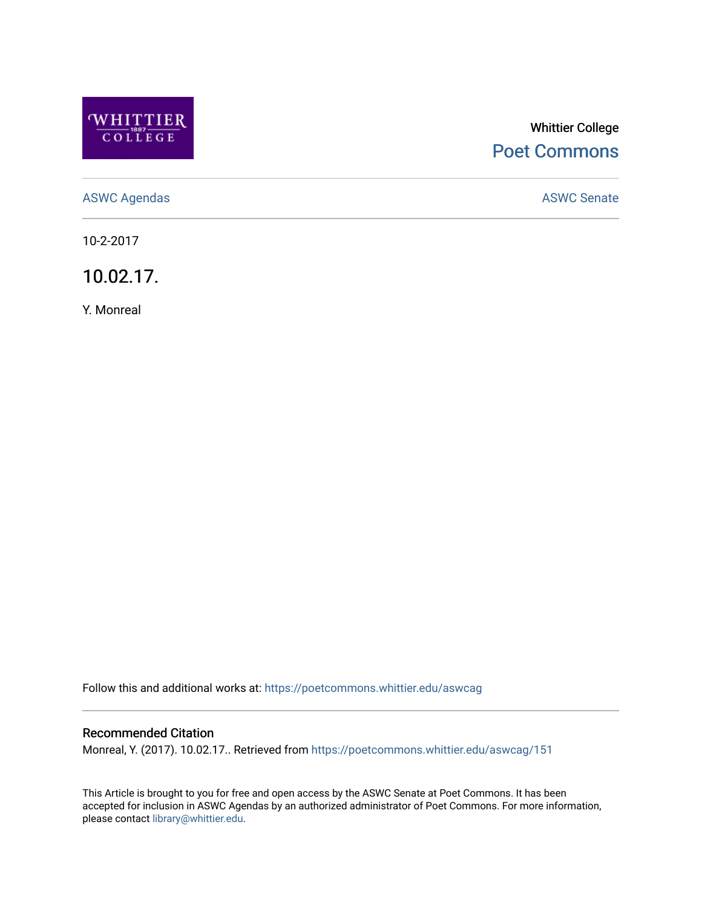

# Whittier College [Poet Commons](https://poetcommons.whittier.edu/)

[ASWC Agendas](https://poetcommons.whittier.edu/aswcag) **ASWC Senate** 

10-2-2017

10.02.17.

Y. Monreal

Follow this and additional works at: [https://poetcommons.whittier.edu/aswcag](https://poetcommons.whittier.edu/aswcag?utm_source=poetcommons.whittier.edu%2Faswcag%2F151&utm_medium=PDF&utm_campaign=PDFCoverPages) 

## Recommended Citation

Monreal, Y. (2017). 10.02.17.. Retrieved from [https://poetcommons.whittier.edu/aswcag/151](https://poetcommons.whittier.edu/aswcag/151?utm_source=poetcommons.whittier.edu%2Faswcag%2F151&utm_medium=PDF&utm_campaign=PDFCoverPages) 

This Article is brought to you for free and open access by the ASWC Senate at Poet Commons. It has been accepted for inclusion in ASWC Agendas by an authorized administrator of Poet Commons. For more information, please contact [library@whittier.edu](mailto:library@whittier.edu).